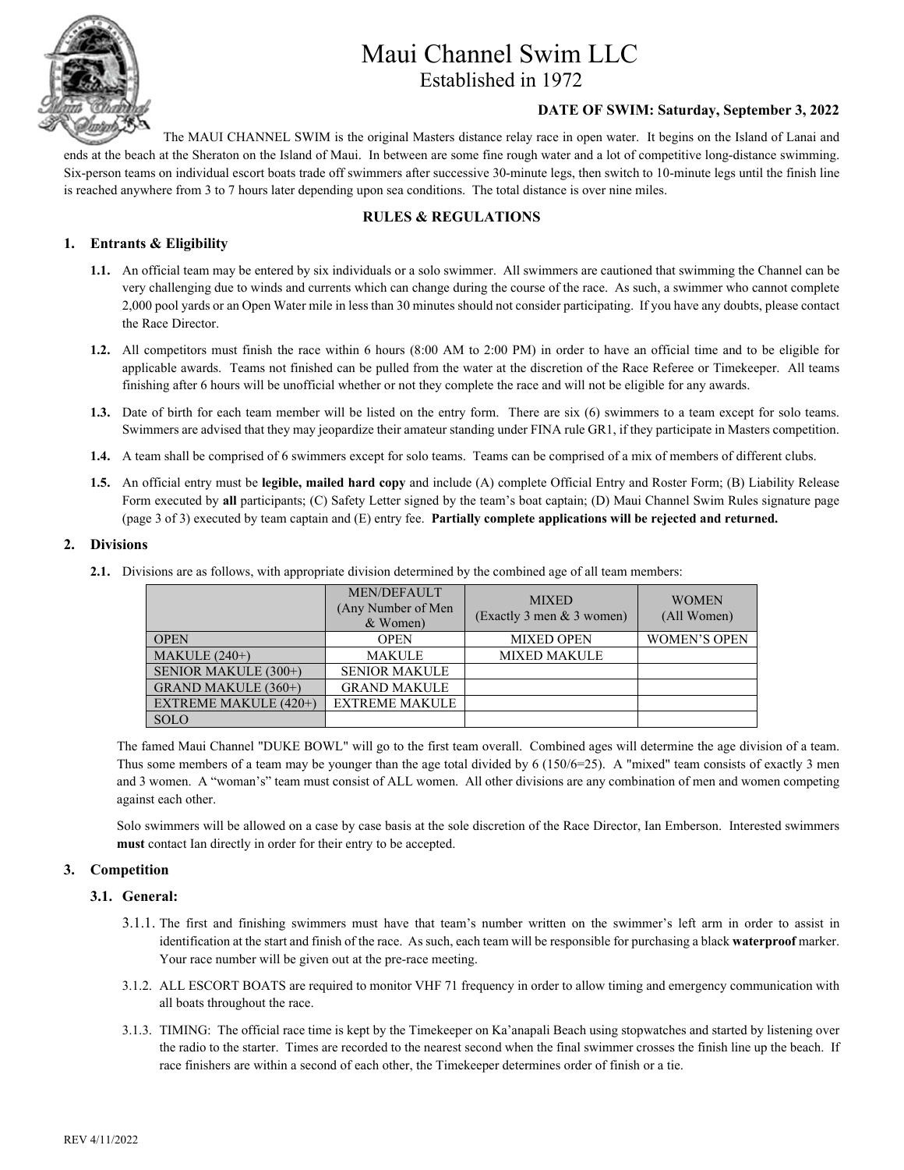

#### **DATE OF SWIM: Saturday, September 3, 2022**

The MAUI CHANNEL SWIM is the original Masters distance relay race in open water. It begins on the Island of Lanai and ends at the beach at the Sheraton on the Island of Maui. In between are some fine rough water and a lot of competitive long-distance swimming. Six-person teams on individual escort boats trade off swimmers after successive 30-minute legs, then switch to 10-minute legs until the finish line is reached anywhere from 3 to 7 hours later depending upon sea conditions. The total distance is over nine miles.

#### **RULES & REGULATIONS**

#### **1. Entrants & Eligibility**

- **1.1.** An official team may be entered by six individuals or a solo swimmer. All swimmers are cautioned that swimming the Channel can be very challenging due to winds and currents which can change during the course of the race. As such, a swimmer who cannot complete 2,000 pool yards or an Open Water mile in less than 30 minutes should not consider participating. If you have any doubts, please contact the Race Director.
- **1.2.** All competitors must finish the race within 6 hours (8:00 AM to 2:00 PM) in order to have an official time and to be eligible for applicable awards. Teams not finished can be pulled from the water at the discretion of the Race Referee or Timekeeper. All teams finishing after 6 hours will be unofficial whether or not they complete the race and will not be eligible for any awards.
- **1.3.** Date of birth for each team member will be listed on the entry form. There are six (6) swimmers to a team except for solo teams. Swimmers are advised that they may jeopardize their amateur standing under FINA rule GR1, if they participate in Masters competition.
- **1.4.** A team shall be comprised of 6 swimmers except for solo teams. Teams can be comprised of a mix of members of different clubs.
- **1.5.** An official entry must be **legible, mailed hard copy** and include (A) complete Official Entry and Roster Form; (B) Liability Release Form executed by **all** participants; (C) Safety Letter signed by the team's boat captain; (D) Maui Channel Swim Rules signature page (page 3 of 3) executed by team captain and (E) entry fee. **Partially complete applications will be rejected and returned.**

#### **2. Divisions**

**2.1.** Divisions are as follows, with appropriate division determined by the combined age of all team members:

|                       | <b>MEN/DEFAULT</b><br>(Any Number of Men)<br>& Women) | <b>MIXED</b><br>(Exactly 3 men & 3 women) | <b>WOMEN</b><br>(All Women) |  |
|-----------------------|-------------------------------------------------------|-------------------------------------------|-----------------------------|--|
| <b>OPEN</b>           | <b>OPEN</b>                                           | <b>MIXED OPEN</b>                         | <b>WOMEN'S OPEN</b>         |  |
| MAKULE $(240+)$       | <b>MAKULE</b>                                         | <b>MIXED MAKULE</b>                       |                             |  |
| SENIOR MAKULE (300+)  | <b>SENIOR MAKULE</b>                                  |                                           |                             |  |
| GRAND MAKULE (360+)   | <b>GRAND MAKULE</b>                                   |                                           |                             |  |
| EXTREME MAKULE (420+) | <b>EXTREME MAKULE</b>                                 |                                           |                             |  |
| <b>SOLO</b>           |                                                       |                                           |                             |  |

The famed Maui Channel "DUKE BOWL" will go to the first team overall. Combined ages will determine the age division of a team. Thus some members of a team may be younger than the age total divided by 6 (150/6=25). A "mixed" team consists of exactly 3 men and 3 women. A "woman's" team must consist of ALL women. All other divisions are any combination of men and women competing against each other.

Solo swimmers will be allowed on a case by case basis at the sole discretion of the Race Director, Ian Emberson. Interested swimmers **must** contact Ian directly in order for their entry to be accepted.

#### **3. Competition**

#### **3.1. General:**

- 3.1.1. The first and finishing swimmers must have that team's number written on the swimmer's left arm in order to assist in identification at the start and finish of the race. As such, each team will be responsible for purchasing a black **waterproof** marker. Your race number will be given out at the pre-race meeting.
- 3.1.2. ALL ESCORT BOATS are required to monitor VHF 71 frequency in order to allow timing and emergency communication with all boats throughout the race.
- 3.1.3. TIMING: The official race time is kept by the Timekeeper on Ka'anapali Beach using stopwatches and started by listening over the radio to the starter. Times are recorded to the nearest second when the final swimmer crosses the finish line up the beach. If race finishers are within a second of each other, the Timekeeper determines order of finish or a tie.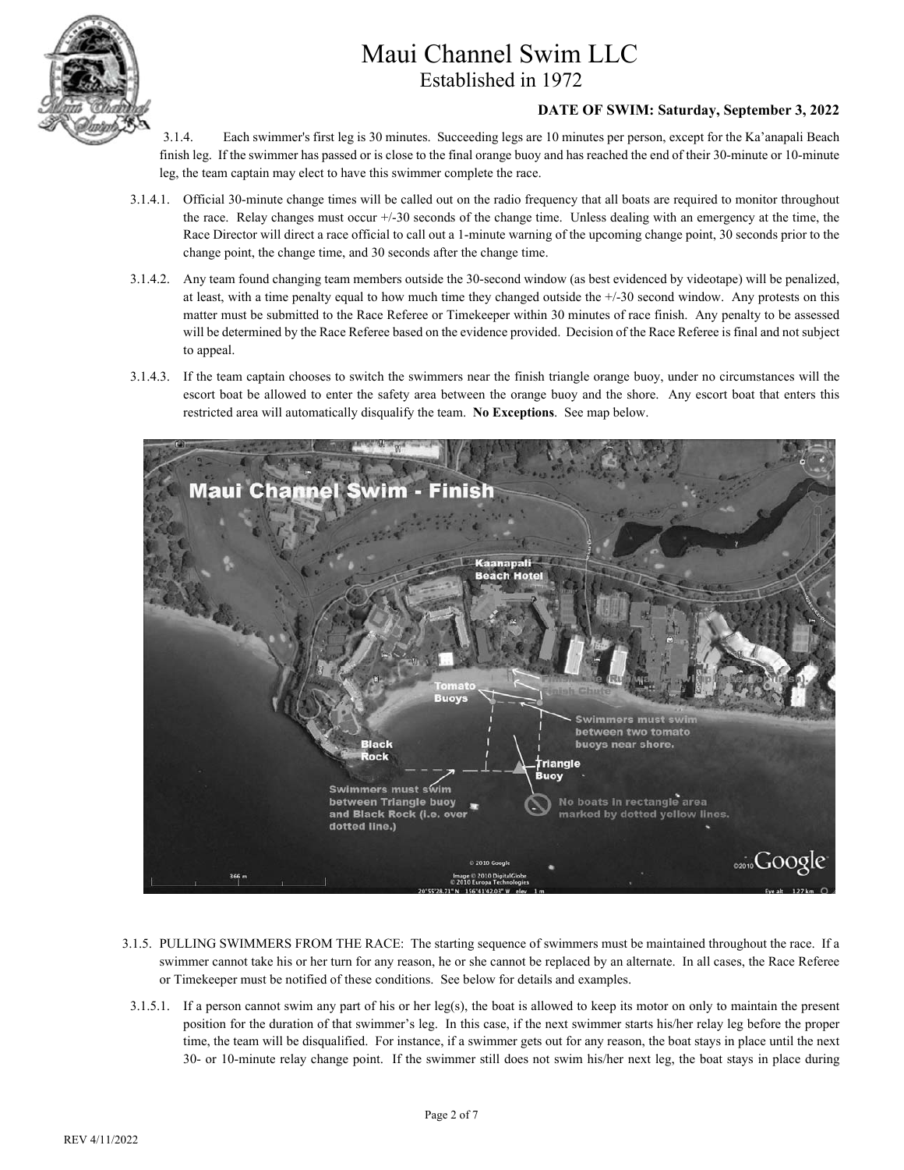

#### **DATE OF SWIM: Saturday, September 3, 2022**

- 3.1.4. Each swimmer's first leg is 30 minutes. Succeeding legs are 10 minutes per person, except for the Ka'anapali Beach finish leg. If the swimmer has passed or is close to the final orange buoy and has reached the end of their 30-minute or 10-minute leg, the team captain may elect to have this swimmer complete the race.
- 3.1.4.1. Official 30-minute change times will be called out on the radio frequency that all boats are required to monitor throughout the race. Relay changes must occur +/-30 seconds of the change time. Unless dealing with an emergency at the time, the Race Director will direct a race official to call out a 1-minute warning of the upcoming change point, 30 seconds prior to the change point, the change time, and 30 seconds after the change time.
- 3.1.4.2. Any team found changing team members outside the 30-second window (as best evidenced by videotape) will be penalized, at least, with a time penalty equal to how much time they changed outside the +/-30 second window. Any protests on this matter must be submitted to the Race Referee or Timekeeper within 30 minutes of race finish. Any penalty to be assessed will be determined by the Race Referee based on the evidence provided. Decision of the Race Referee is final and not subject to appeal.
- 3.1.4.3. If the team captain chooses to switch the swimmers near the finish triangle orange buoy, under no circumstances will the escort boat be allowed to enter the safety area between the orange buoy and the shore. Any escort boat that enters this restricted area will automatically disqualify the team. **No Exceptions**. See map below.



- 3.1.5. PULLING SWIMMERS FROM THE RACE: The starting sequence of swimmers must be maintained throughout the race. If a swimmer cannot take his or her turn for any reason, he or she cannot be replaced by an alternate. In all cases, the Race Referee or Timekeeper must be notified of these conditions. See below for details and examples.
- 3.1.5.1. If a person cannot swim any part of his or her leg(s), the boat is allowed to keep its motor on only to maintain the present position for the duration of that swimmer's leg. In this case, if the next swimmer starts his/her relay leg before the proper time, the team will be disqualified. For instance, if a swimmer gets out for any reason, the boat stays in place until the next 30- or 10-minute relay change point. If the swimmer still does not swim his/her next leg, the boat stays in place during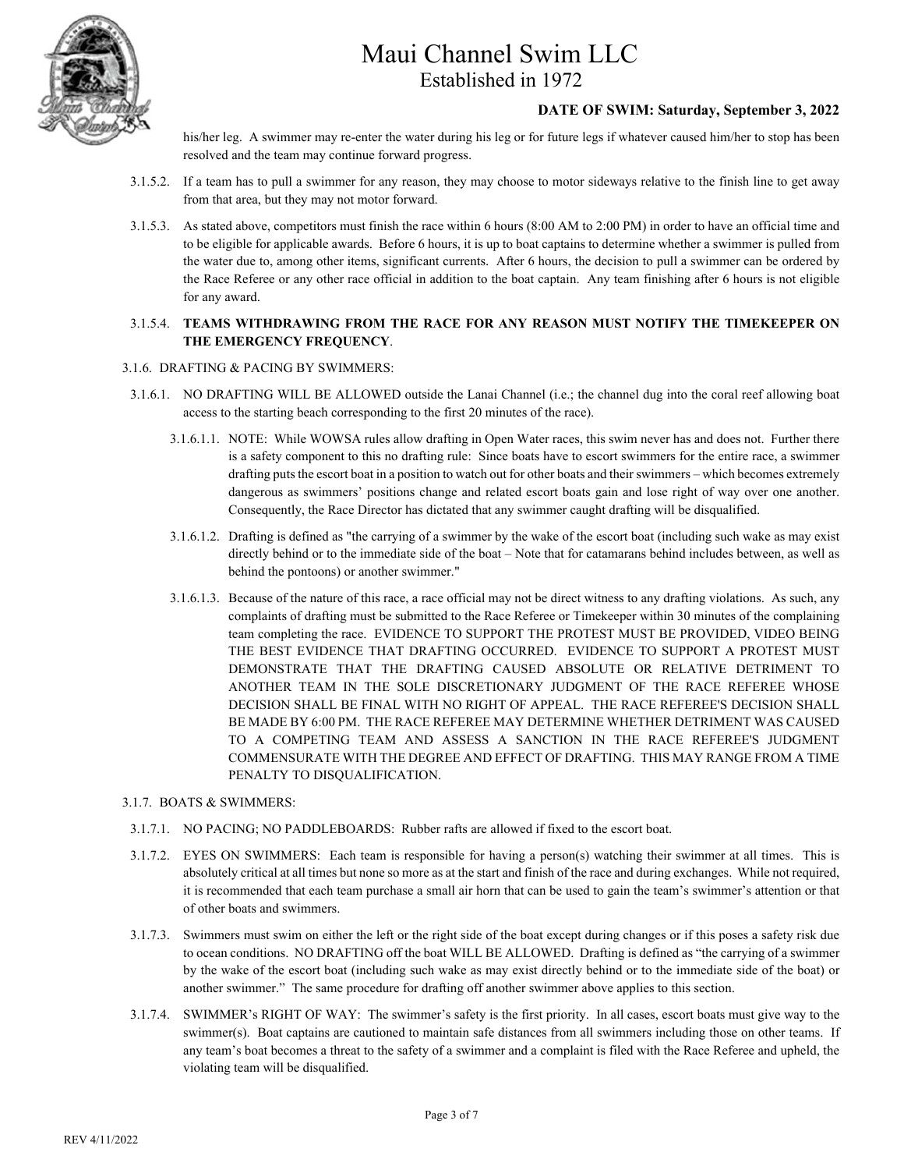

#### **DATE OF SWIM: Saturday, September 3, 2022**

his/her leg. A swimmer may re-enter the water during his leg or for future legs if whatever caused him/her to stop has been resolved and the team may continue forward progress.

- 3.1.5.2. If a team has to pull a swimmer for any reason, they may choose to motor sideways relative to the finish line to get away from that area, but they may not motor forward.
- 3.1.5.3. As stated above, competitors must finish the race within 6 hours (8:00 AM to 2:00 PM) in order to have an official time and to be eligible for applicable awards. Before 6 hours, it is up to boat captains to determine whether a swimmer is pulled from the water due to, among other items, significant currents. After 6 hours, the decision to pull a swimmer can be ordered by the Race Referee or any other race official in addition to the boat captain. Any team finishing after 6 hours is not eligible for any award.

#### 3.1.5.4. **TEAMS WITHDRAWING FROM THE RACE FOR ANY REASON MUST NOTIFY THE TIMEKEEPER ON THE EMERGENCY FREQUENCY**.

#### 3.1.6. DRAFTING & PACING BY SWIMMERS:

- 3.1.6.1. NO DRAFTING WILL BE ALLOWED outside the Lanai Channel (i.e.; the channel dug into the coral reef allowing boat access to the starting beach corresponding to the first 20 minutes of the race).
	- 3.1.6.1.1. NOTE: While WOWSA rules allow drafting in Open Water races, this swim never has and does not. Further there is a safety component to this no drafting rule: Since boats have to escort swimmers for the entire race, a swimmer drafting puts the escort boat in a position to watch out for other boats and their swimmers – which becomes extremely dangerous as swimmers' positions change and related escort boats gain and lose right of way over one another. Consequently, the Race Director has dictated that any swimmer caught drafting will be disqualified.
	- 3.1.6.1.2. Drafting is defined as "the carrying of a swimmer by the wake of the escort boat (including such wake as may exist directly behind or to the immediate side of the boat – Note that for catamarans behind includes between, as well as behind the pontoons) or another swimmer."
	- 3.1.6.1.3. Because of the nature of this race, a race official may not be direct witness to any drafting violations. As such, any complaints of drafting must be submitted to the Race Referee or Timekeeper within 30 minutes of the complaining team completing the race. EVIDENCE TO SUPPORT THE PROTEST MUST BE PROVIDED, VIDEO BEING THE BEST EVIDENCE THAT DRAFTING OCCURRED. EVIDENCE TO SUPPORT A PROTEST MUST DEMONSTRATE THAT THE DRAFTING CAUSED ABSOLUTE OR RELATIVE DETRIMENT TO ANOTHER TEAM IN THE SOLE DISCRETIONARY JUDGMENT OF THE RACE REFEREE WHOSE DECISION SHALL BE FINAL WITH NO RIGHT OF APPEAL. THE RACE REFEREE'S DECISION SHALL BE MADE BY 6:00 PM. THE RACE REFEREE MAY DETERMINE WHETHER DETRIMENT WAS CAUSED TO A COMPETING TEAM AND ASSESS A SANCTION IN THE RACE REFEREE'S JUDGMENT COMMENSURATE WITH THE DEGREE AND EFFECT OF DRAFTING. THIS MAY RANGE FROM A TIME PENALTY TO DISQUALIFICATION.

#### 3.1.7. BOATS & SWIMMERS:

- 3.1.7.1. NO PACING; NO PADDLEBOARDS: Rubber rafts are allowed if fixed to the escort boat.
- 3.1.7.2. EYES ON SWIMMERS: Each team is responsible for having a person(s) watching their swimmer at all times. This is absolutely critical at all times but none so more as at the start and finish of the race and during exchanges. While not required, it is recommended that each team purchase a small air horn that can be used to gain the team's swimmer's attention or that of other boats and swimmers.
- 3.1.7.3. Swimmers must swim on either the left or the right side of the boat except during changes or if this poses a safety risk due to ocean conditions. NO DRAFTING off the boat WILL BE ALLOWED. Drafting is defined as "the carrying of a swimmer by the wake of the escort boat (including such wake as may exist directly behind or to the immediate side of the boat) or another swimmer." The same procedure for drafting off another swimmer above applies to this section.
- 3.1.7.4. SWIMMER's RIGHT OF WAY: The swimmer's safety is the first priority. In all cases, escort boats must give way to the swimmer(s). Boat captains are cautioned to maintain safe distances from all swimmers including those on other teams. If any team's boat becomes a threat to the safety of a swimmer and a complaint is filed with the Race Referee and upheld, the violating team will be disqualified.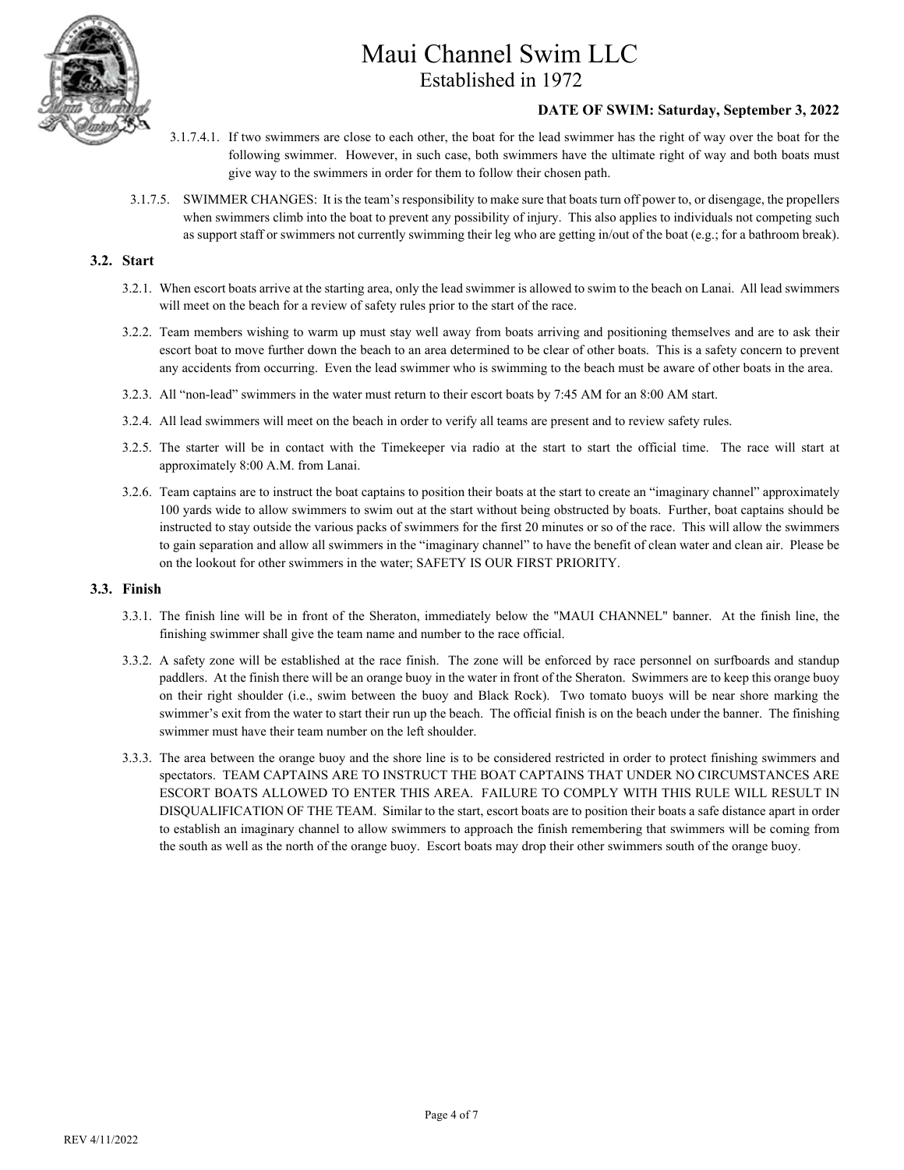

#### **DATE OF SWIM: Saturday, September 3, 2022**

- 3.1.7.4.1. If two swimmers are close to each other, the boat for the lead swimmer has the right of way over the boat for the following swimmer. However, in such case, both swimmers have the ultimate right of way and both boats must give way to the swimmers in order for them to follow their chosen path.
- 3.1.7.5. SWIMMER CHANGES: It is the team's responsibility to make sure that boats turn off power to, or disengage, the propellers when swimmers climb into the boat to prevent any possibility of injury. This also applies to individuals not competing such as support staff or swimmers not currently swimming their leg who are getting in/out of the boat (e.g.; for a bathroom break).

#### **3.2. Start**

- 3.2.1. When escort boats arrive at the starting area, only the lead swimmer is allowed to swim to the beach on Lanai. All lead swimmers will meet on the beach for a review of safety rules prior to the start of the race.
- 3.2.2. Team members wishing to warm up must stay well away from boats arriving and positioning themselves and are to ask their escort boat to move further down the beach to an area determined to be clear of other boats. This is a safety concern to prevent any accidents from occurring. Even the lead swimmer who is swimming to the beach must be aware of other boats in the area.
- 3.2.3. All "non-lead" swimmers in the water must return to their escort boats by 7:45 AM for an 8:00 AM start.
- 3.2.4. All lead swimmers will meet on the beach in order to verify all teams are present and to review safety rules.
- 3.2.5. The starter will be in contact with the Timekeeper via radio at the start to start the official time. The race will start at approximately 8:00 A.M. from Lanai.
- 3.2.6. Team captains are to instruct the boat captains to position their boats at the start to create an "imaginary channel" approximately 100 yards wide to allow swimmers to swim out at the start without being obstructed by boats. Further, boat captains should be instructed to stay outside the various packs of swimmers for the first 20 minutes or so of the race. This will allow the swimmers to gain separation and allow all swimmers in the "imaginary channel" to have the benefit of clean water and clean air. Please be on the lookout for other swimmers in the water; SAFETY IS OUR FIRST PRIORITY.

#### **3.3. Finish**

- 3.3.1. The finish line will be in front of the Sheraton, immediately below the "MAUI CHANNEL" banner. At the finish line, the finishing swimmer shall give the team name and number to the race official.
- 3.3.2. A safety zone will be established at the race finish. The zone will be enforced by race personnel on surfboards and standup paddlers. At the finish there will be an orange buoy in the water in front of the Sheraton. Swimmers are to keep this orange buoy on their right shoulder (i.e., swim between the buoy and Black Rock). Two tomato buoys will be near shore marking the swimmer's exit from the water to start their run up the beach. The official finish is on the beach under the banner. The finishing swimmer must have their team number on the left shoulder.
- 3.3.3. The area between the orange buoy and the shore line is to be considered restricted in order to protect finishing swimmers and spectators. TEAM CAPTAINS ARE TO INSTRUCT THE BOAT CAPTAINS THAT UNDER NO CIRCUMSTANCES ARE ESCORT BOATS ALLOWED TO ENTER THIS AREA. FAILURE TO COMPLY WITH THIS RULE WILL RESULT IN DISQUALIFICATION OF THE TEAM. Similar to the start, escort boats are to position their boats a safe distance apart in order to establish an imaginary channel to allow swimmers to approach the finish remembering that swimmers will be coming from the south as well as the north of the orange buoy. Escort boats may drop their other swimmers south of the orange buoy.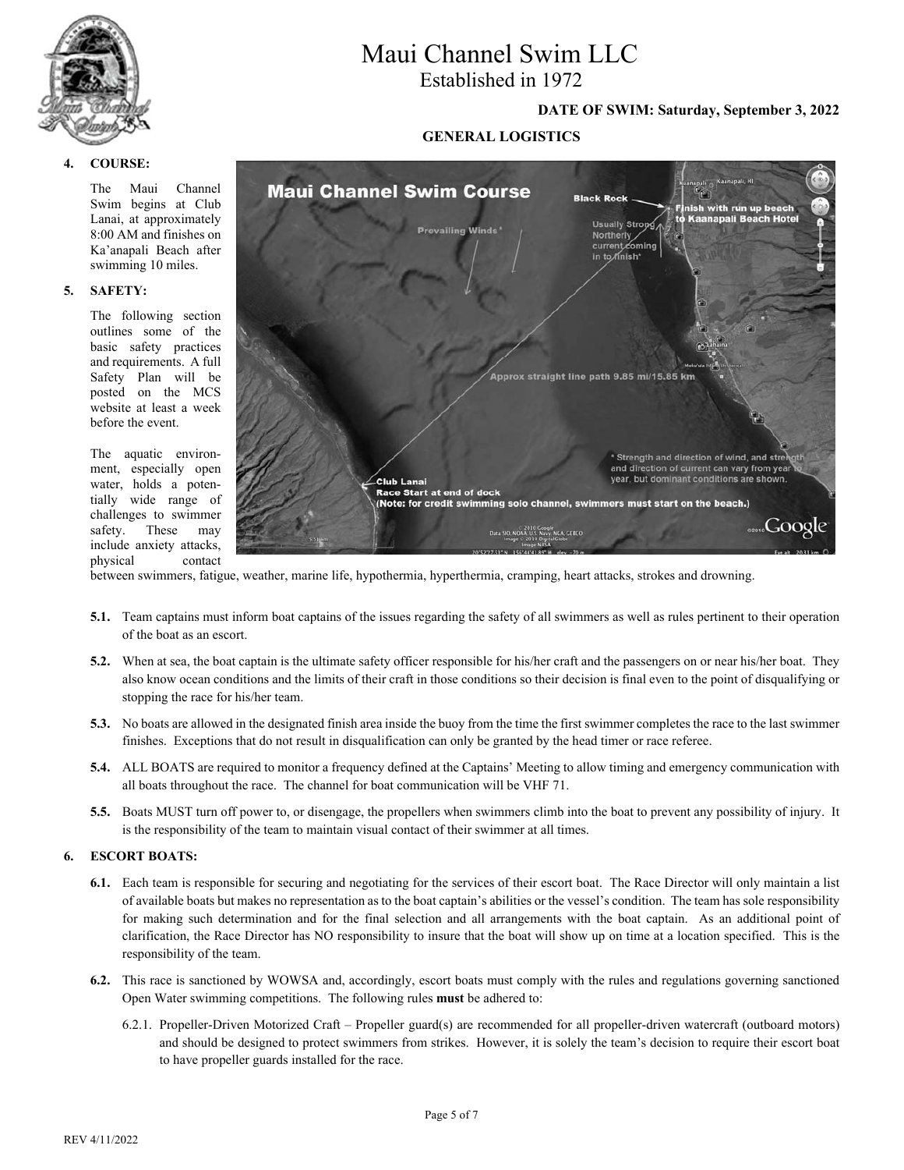

#### **4. COURSE:**

The Maui Channel Swim begins at Club Lanai, at approximately 8:00 AM and finishes on Ka'anapali Beach after swimming 10 miles.

#### **5. SAFETY:**

The following section outlines some of the basic safety practices and requirements. A full Safety Plan will be posted on the MCS website at least a week before the event.

The aquatic environment, especially open water, holds a potentially wide range of challenges to swimmer safety. These may include anxiety attacks, physical contact

# Maui Channel Swim LLC

Established in 1972

#### **DATE OF SWIM: Saturday, September 3, 2022**

#### **GENERAL LOGISTICS**



between swimmers, fatigue, weather, marine life, hypothermia, hyperthermia, cramping, heart attacks, strokes and drowning.

- **5.1.** Team captains must inform boat captains of the issues regarding the safety of all swimmers as well as rules pertinent to their operation of the boat as an escort.
- **5.2.** When at sea, the boat captain is the ultimate safety officer responsible for his/her craft and the passengers on or near his/her boat. They also know ocean conditions and the limits of their craft in those conditions so their decision is final even to the point of disqualifying or stopping the race for his/her team.
- **5.3.** No boats are allowed in the designated finish area inside the buoy from the time the first swimmer completes the race to the last swimmer finishes. Exceptions that do not result in disqualification can only be granted by the head timer or race referee.
- **5.4.** ALL BOATS are required to monitor a frequency defined at the Captains' Meeting to allow timing and emergency communication with all boats throughout the race. The channel for boat communication will be VHF 71.
- **5.5.** Boats MUST turn off power to, or disengage, the propellers when swimmers climb into the boat to prevent any possibility of injury. It is the responsibility of the team to maintain visual contact of their swimmer at all times.

#### **6. ESCORT BOATS:**

- **6.1.** Each team is responsible for securing and negotiating for the services of their escort boat. The Race Director will only maintain a list of available boats but makes no representation as to the boat captain's abilities or the vessel's condition. The team has sole responsibility for making such determination and for the final selection and all arrangements with the boat captain. As an additional point of clarification, the Race Director has NO responsibility to insure that the boat will show up on time at a location specified. This is the responsibility of the team.
- **6.2.** This race is sanctioned by WOWSA and, accordingly, escort boats must comply with the rules and regulations governing sanctioned Open Water swimming competitions. The following rules **must** be adhered to:
	- 6.2.1. Propeller-Driven Motorized Craft Propeller guard(s) are recommended for all propeller-driven watercraft (outboard motors) and should be designed to protect swimmers from strikes. However, it is solely the team's decision to require their escort boat to have propeller guards installed for the race.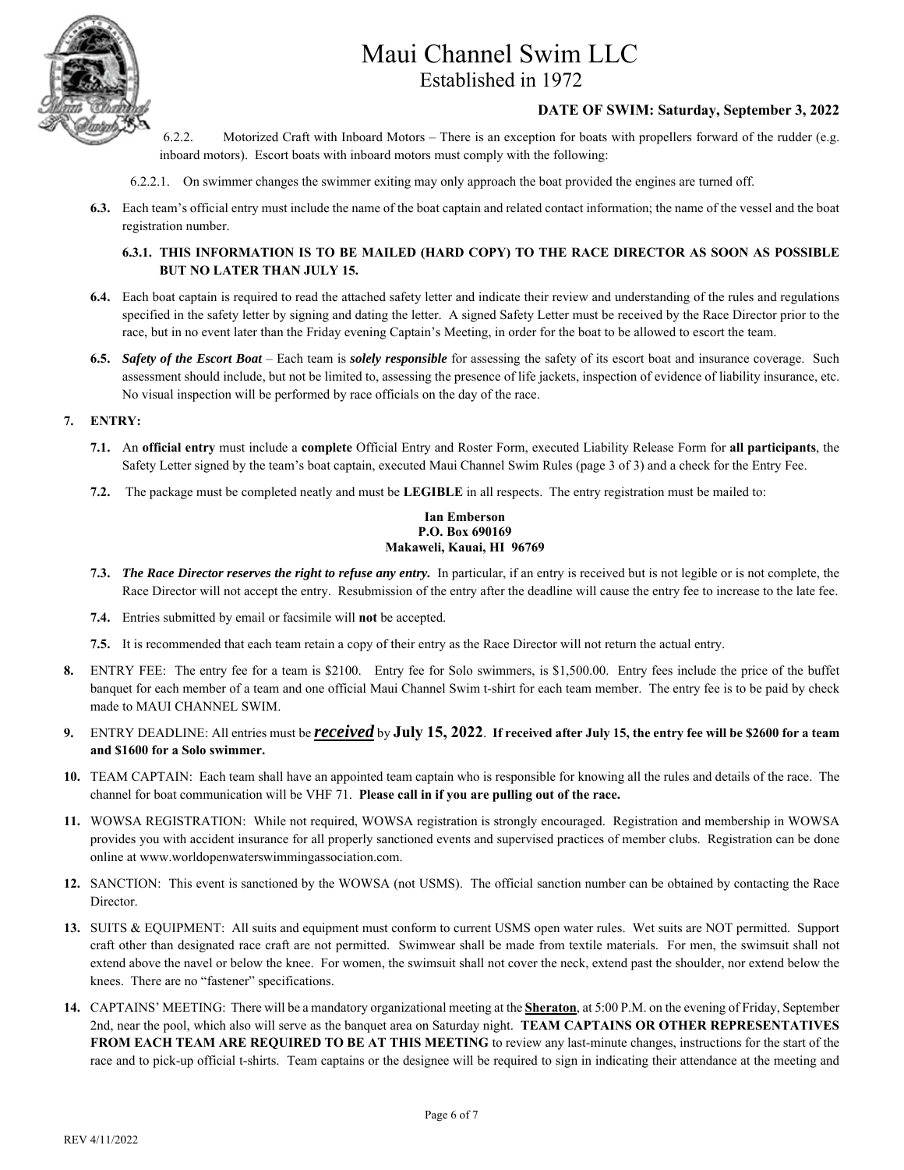

#### **DATE OF SWIM: Saturday, September 3, 2022**

- 6.2.2. Motorized Craft with Inboard Motors There is an exception for boats with propellers forward of the rudder (e.g. inboard motors). Escort boats with inboard motors must comply with the following:
- 6.2.2.1. On swimmer changes the swimmer exiting may only approach the boat provided the engines are turned off.
- **6.3.** Each team's official entry must include the name of the boat captain and related contact information; the name of the vessel and the boat registration number.

#### **6.3.1. THIS INFORMATION IS TO BE MAILED (HARD COPY) TO THE RACE DIRECTOR AS SOON AS POSSIBLE BUT NO LATER THAN JULY 15.**

- **6.4.** Each boat captain is required to read the attached safety letter and indicate their review and understanding of the rules and regulations specified in the safety letter by signing and dating the letter. A signed Safety Letter must be received by the Race Director prior to the race, but in no event later than the Friday evening Captain's Meeting, in order for the boat to be allowed to escort the team.
- **6.5.** *Safety of the Escort Boat* Each team is *solely responsible* for assessing the safety of its escort boat and insurance coverage. Such assessment should include, but not be limited to, assessing the presence of life jackets, inspection of evidence of liability insurance, etc. No visual inspection will be performed by race officials on the day of the race.
- **7. ENTRY:** 
	- **7.1.** An **official entry** must include a **complete** Official Entry and Roster Form, executed Liability Release Form for **all participants**, the Safety Letter signed by the team's boat captain, executed Maui Channel Swim Rules (page 3 of 3) and a check for the Entry Fee.
	- **7.2.** The package must be completed neatly and must be **LEGIBLE** in all respects. The entry registration must be mailed to:

#### **Ian Emberson P.O. Box 690169 Makaweli, Kauai, HI 96769**

- **7.3.** *The Race Director reserves the right to refuse any entry.* In particular, if an entry is received but is not legible or is not complete, the Race Director will not accept the entry. Resubmission of the entry after the deadline will cause the entry fee to increase to the late fee.
- **7.4.** Entries submitted by email or facsimile will **not** be accepted.
- **7.5.** It is recommended that each team retain a copy of their entry as the Race Director will not return the actual entry.
- **8.** ENTRY FEE: The entry fee for a team is \$2100. Entry fee for Solo swimmers, is \$1,500.00. Entry fees include the price of the buffet banquet for each member of a team and one official Maui Channel Swim t-shirt for each team member. The entry fee is to be paid by check made to MAUI CHANNEL SWIM.
- **9.** ENTRY DEADLINE: All entries must be *received* by **July 15, 2022**. **If received after July 15, the entry fee will be \$2600 for a team and \$1600 for a Solo swimmer.**
- **10.** TEAM CAPTAIN: Each team shall have an appointed team captain who is responsible for knowing all the rules and details of the race. The channel for boat communication will be VHF 71. **Please call in if you are pulling out of the race.**
- **11.** WOWSA REGISTRATION: While not required, WOWSA registration is strongly encouraged. Registration and membership in WOWSA provides you with accident insurance for all properly sanctioned events and supervised practices of member clubs. Registration can be done online at www.worldopenwaterswimmingassociation.com.
- **12.** SANCTION: This event is sanctioned by the WOWSA (not USMS). The official sanction number can be obtained by contacting the Race Director.
- **13.** SUITS & EQUIPMENT: All suits and equipment must conform to current USMS open water rules. Wet suits are NOT permitted. Support craft other than designated race craft are not permitted. Swimwear shall be made from textile materials. For men, the swimsuit shall not extend above the navel or below the knee. For women, the swimsuit shall not cover the neck, extend past the shoulder, nor extend below the knees. There are no "fastener" specifications.
- **14.** CAPTAINS' MEETING: There will be a mandatory organizational meeting at the **Sheraton**, at 5:00 P.M. on the evening of Friday, September 2nd, near the pool, which also will serve as the banquet area on Saturday night. **TEAM CAPTAINS OR OTHER REPRESENTATIVES FROM EACH TEAM ARE REQUIRED TO BE AT THIS MEETING** to review any last-minute changes, instructions for the start of the race and to pick-up official t-shirts. Team captains or the designee will be required to sign in indicating their attendance at the meeting and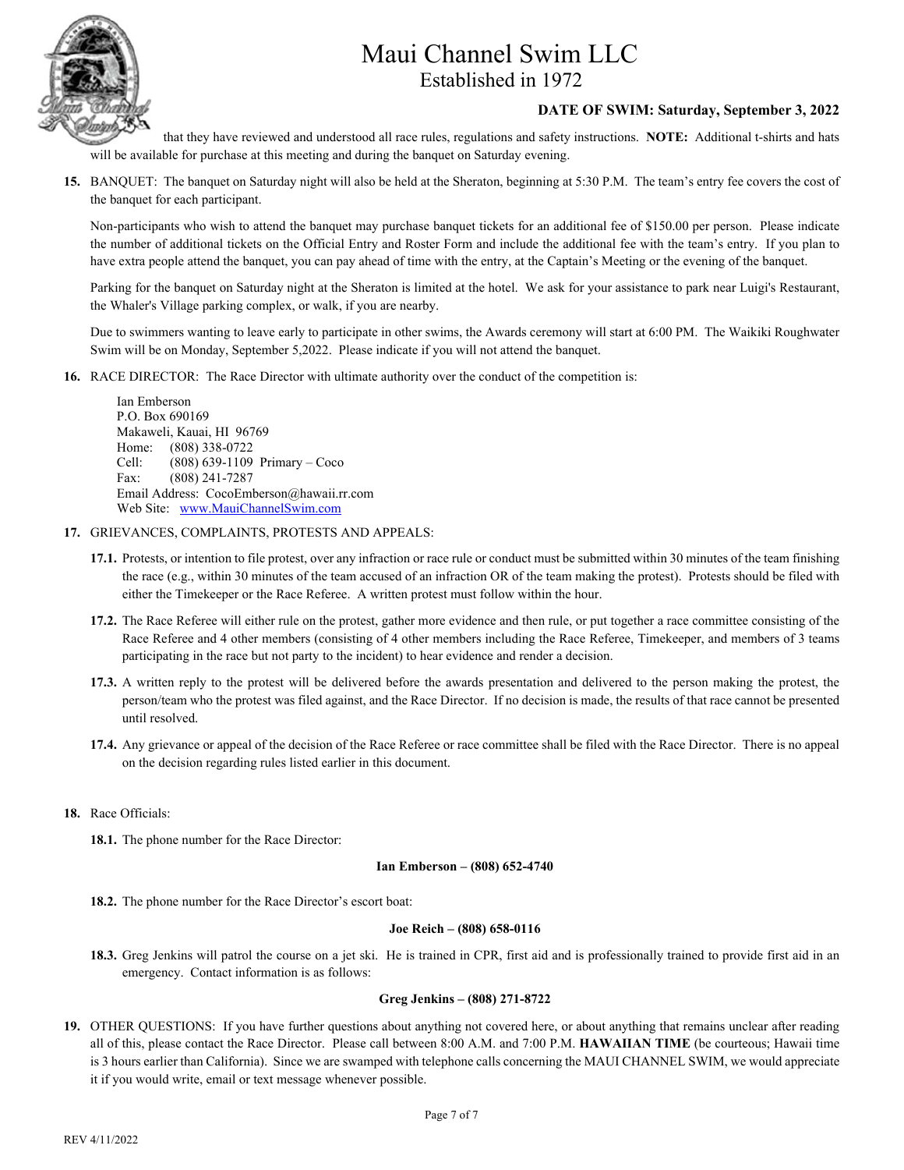

#### **DATE OF SWIM: Saturday, September 3, 2022**

that they have reviewed and understood all race rules, regulations and safety instructions. **NOTE:** Additional t-shirts and hats will be available for purchase at this meeting and during the banquet on Saturday evening.

**15.** BANQUET: The banquet on Saturday night will also be held at the Sheraton, beginning at 5:30 P.M. The team's entry fee covers the cost of the banquet for each participant.

Non-participants who wish to attend the banquet may purchase banquet tickets for an additional fee of \$150.00 per person. Please indicate the number of additional tickets on the Official Entry and Roster Form and include the additional fee with the team's entry. If you plan to have extra people attend the banquet, you can pay ahead of time with the entry, at the Captain's Meeting or the evening of the banquet.

Parking for the banquet on Saturday night at the Sheraton is limited at the hotel. We ask for your assistance to park near Luigi's Restaurant, the Whaler's Village parking complex, or walk, if you are nearby.

Due to swimmers wanting to leave early to participate in other swims, the Awards ceremony will start at 6:00 PM. The Waikiki Roughwater Swim will be on Monday, September 5,2022. Please indicate if you will not attend the banquet.

**16.** RACE DIRECTOR: The Race Director with ultimate authority over the conduct of the competition is:

Ian Emberson P.O. Box 690169 Makaweli, Kauai, HI 96769 Home: (808) 338-0722 Cell: (808) 639-1109 Primary – Coco Fax: (808) 241-7287 Email Address: CocoEmberson@hawaii.rr.com Web Site: www.MauiChannelSwim.com

- **17.** GRIEVANCES, COMPLAINTS, PROTESTS AND APPEALS:
	- **17.1.** Protests, or intention to file protest, over any infraction or race rule or conduct must be submitted within 30 minutes of the team finishing the race (e.g., within 30 minutes of the team accused of an infraction OR of the team making the protest). Protests should be filed with either the Timekeeper or the Race Referee. A written protest must follow within the hour.
	- **17.2.** The Race Referee will either rule on the protest, gather more evidence and then rule, or put together a race committee consisting of the Race Referee and 4 other members (consisting of 4 other members including the Race Referee, Timekeeper, and members of 3 teams participating in the race but not party to the incident) to hear evidence and render a decision.
	- **17.3.** A written reply to the protest will be delivered before the awards presentation and delivered to the person making the protest, the person/team who the protest was filed against, and the Race Director. If no decision is made, the results of that race cannot be presented until resolved.
	- **17.4.** Any grievance or appeal of the decision of the Race Referee or race committee shall be filed with the Race Director. There is no appeal on the decision regarding rules listed earlier in this document.
- **18.** Race Officials:

**18.1.** The phone number for the Race Director:

#### **Ian Emberson – (808) 652-4740**

**18.2.** The phone number for the Race Director's escort boat:

#### **Joe Reich – (808) 658-0116**

**18.3.** Greg Jenkins will patrol the course on a jet ski. He is trained in CPR, first aid and is professionally trained to provide first aid in an emergency. Contact information is as follows:

#### **Greg Jenkins – (808) 271-8722**

**19.** OTHER QUESTIONS: If you have further questions about anything not covered here, or about anything that remains unclear after reading all of this, please contact the Race Director. Please call between 8:00 A.M. and 7:00 P.M. **HAWAIIAN TIME** (be courteous; Hawaii time is 3 hours earlier than California). Since we are swamped with telephone calls concerning the MAUI CHANNEL SWIM, we would appreciate it if you would write, email or text message whenever possible.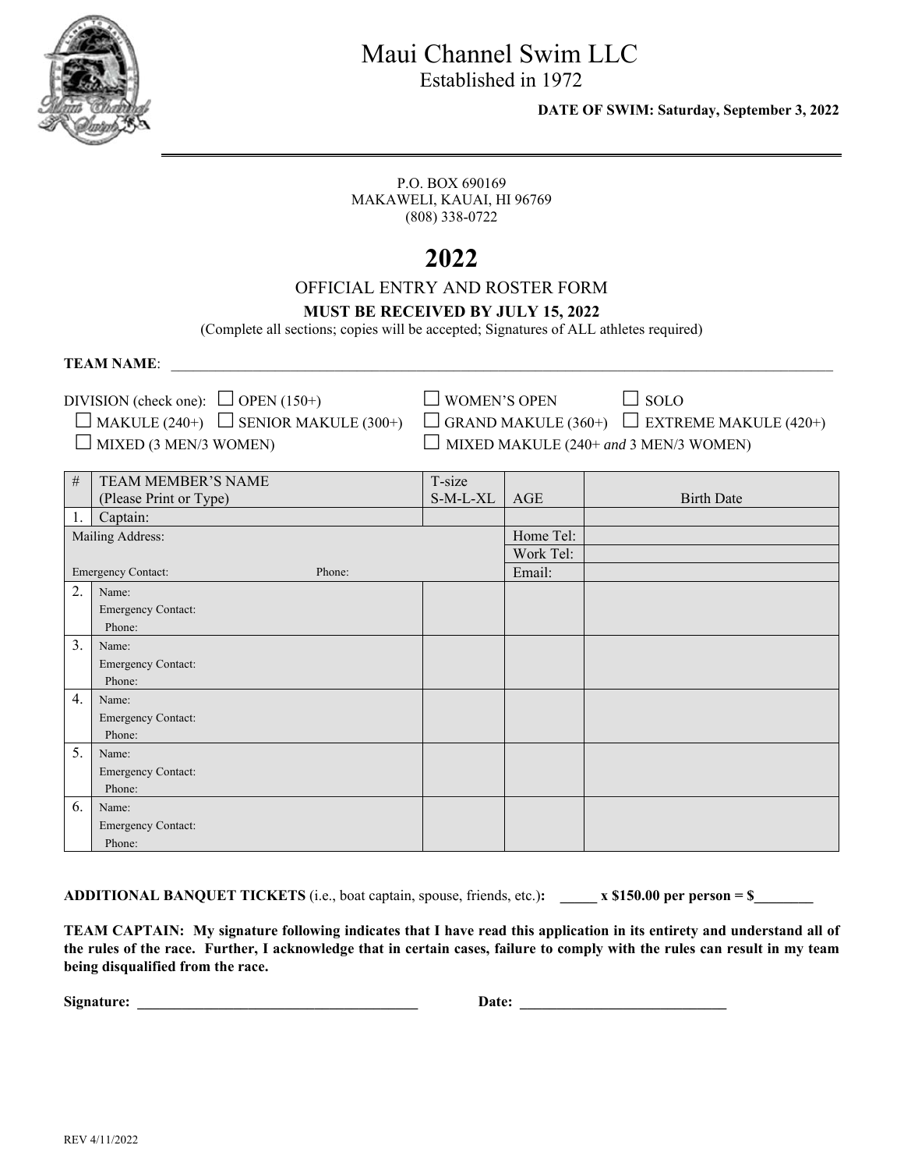

Established in 1972

 **DATE OF SWIM: Saturday, September 3, 2022** 

P.O. BOX 690169 MAKAWELI, KAUAI, HI 96769 (808) 338-0722

# **2022**

## OFFICIAL ENTRY AND ROSTER FORM

### **MUST BE RECEIVED BY JULY 15, 2022**

(Complete all sections; copies will be accepted; Signatures of ALL athletes required)

**TEAM NAME:** 

DIVISION (check one):  $\Box$  OPEN (150+)  $\Box$  WOMEN'S OPEN  $\Box$  SOLO  $\Box$  MAKULE (240+)  $\Box$  SENIOR MAKULE (300+)  $\Box$  GRAND MAKULE (360+)  $\Box$  EXTRI

 $\Box$  MIXED (3 MEN/3 WOMEN)  $\Box$  MIXED MAKULE (240+ *and* 3 MEN/3 WOMEN)

 $\Box$  GRAND MAKULE (360+)  $\Box$  EXTREME MAKULE (420+)

| $\#$ | TEAM MEMBER'S NAME                  | T-size   |           |                   |
|------|-------------------------------------|----------|-----------|-------------------|
|      | (Please Print or Type)              | S-M-L-XL | AGE       | <b>Birth Date</b> |
| 1.   | Captain:                            |          |           |                   |
|      | Mailing Address:                    |          | Home Tel: |                   |
|      |                                     |          | Work Tel: |                   |
|      | <b>Emergency Contact:</b><br>Phone: |          | Email:    |                   |
| 2.   | Name:                               |          |           |                   |
|      | Emergency Contact:                  |          |           |                   |
|      | Phone:                              |          |           |                   |
| 3.   | Name:                               |          |           |                   |
|      | Emergency Contact:                  |          |           |                   |
|      | Phone:                              |          |           |                   |
| 4.   | Name:                               |          |           |                   |
|      | Emergency Contact:                  |          |           |                   |
|      | Phone:                              |          |           |                   |
| 5.   | Name:                               |          |           |                   |
|      | Emergency Contact:                  |          |           |                   |
|      | Phone:                              |          |           |                   |
| 6.   | Name:                               |          |           |                   |
|      | Emergency Contact:                  |          |           |                   |
|      | Phone:                              |          |           |                   |

**ADDITIONAL BANQUET TICKETS** (i.e., boat captain, spouse, friends, etc.)**: \_\_\_\_\_ x \$150.00 per person = \$\_\_\_\_\_\_\_\_** 

**TEAM CAPTAIN: My signature following indicates that I have read this application in its entirety and understand all of the rules of the race. Further, I acknowledge that in certain cases, failure to comply with the rules can result in my team being disqualified from the race.** 

| Signature: |  |
|------------|--|
|            |  |

**Signature: \_\_\_\_\_\_\_\_\_\_\_\_\_\_\_\_\_\_\_\_\_\_\_\_\_\_\_\_\_\_\_\_\_\_\_\_\_\_ Date: \_\_\_\_\_\_\_\_\_\_\_\_\_\_\_\_\_\_\_\_\_\_\_\_\_\_\_\_**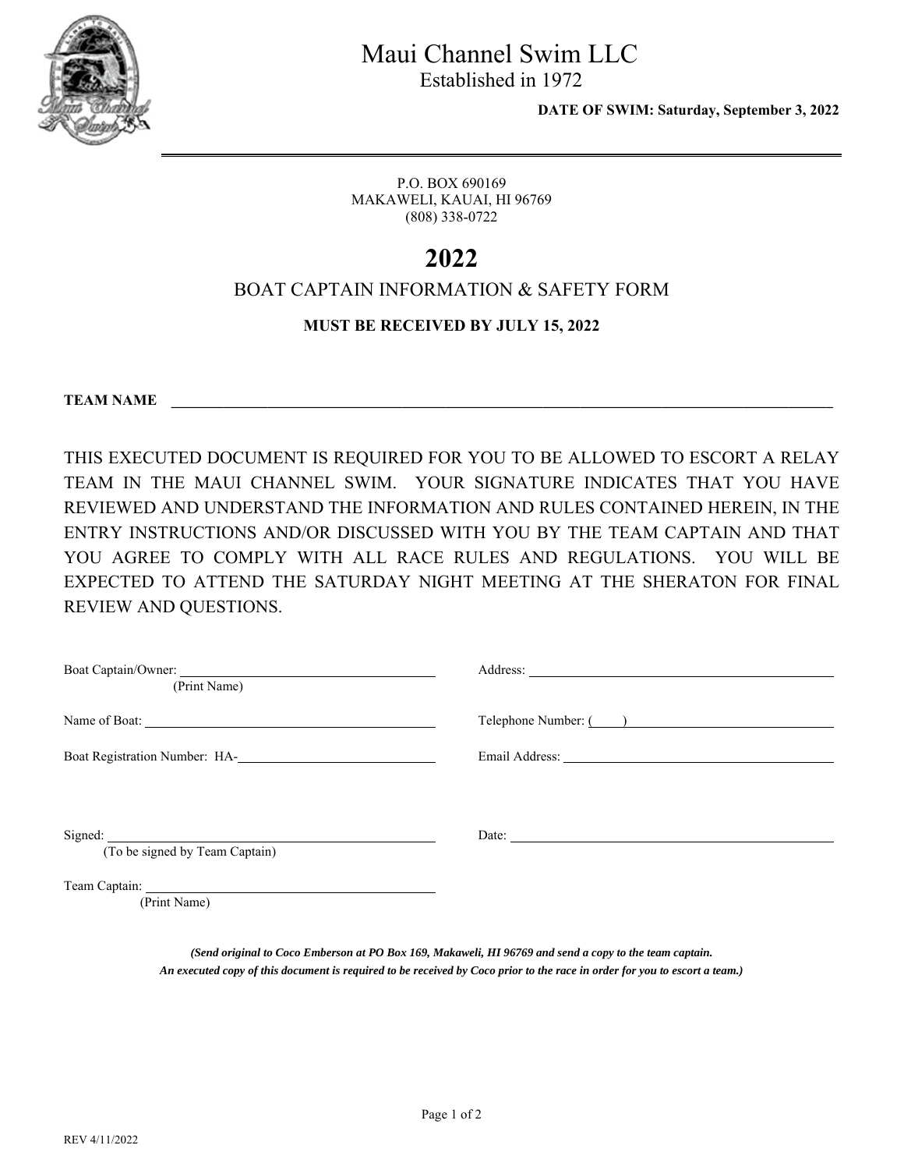

Established in 1972

 **DATE OF SWIM: Saturday, September 3, 2022** 

P.O. BOX 690169 MAKAWELI, KAUAI, HI 96769 (808) 338-0722

# **2022**

## BOAT CAPTAIN INFORMATION & SAFETY FORM

### **MUST BE RECEIVED BY JULY 15, 2022**

**TEAM NAME \_\_\_\_\_\_\_\_\_\_\_\_\_\_\_\_\_\_\_\_\_\_\_\_\_\_\_\_\_\_\_\_\_\_\_\_\_\_\_\_\_\_\_\_\_\_\_\_\_\_\_\_\_\_\_\_\_\_\_\_\_\_\_\_\_\_\_\_\_\_\_\_\_\_\_\_\_\_\_\_\_\_\_\_\_\_\_\_\_** 

THIS EXECUTED DOCUMENT IS REQUIRED FOR YOU TO BE ALLOWED TO ESCORT A RELAY TEAM IN THE MAUI CHANNEL SWIM. YOUR SIGNATURE INDICATES THAT YOU HAVE REVIEWED AND UNDERSTAND THE INFORMATION AND RULES CONTAINED HEREIN, IN THE ENTRY INSTRUCTIONS AND/OR DISCUSSED WITH YOU BY THE TEAM CAPTAIN AND THAT YOU AGREE TO COMPLY WITH ALL RACE RULES AND REGULATIONS. YOU WILL BE EXPECTED TO ATTEND THE SATURDAY NIGHT MEETING AT THE SHERATON FOR FINAL REVIEW AND QUESTIONS.

| Boat Captain/Owner:<br>(Print Name)                        |                       |
|------------------------------------------------------------|-----------------------|
|                                                            | Telephone Number: ( ) |
| Boat Registration Number: HA-<br><u>Land Communication</u> |                       |
|                                                            |                       |
| (To be signed by Team Captain)                             |                       |
| (Print Name)                                               |                       |

*(Send original to Coco Emberson at PO Box 169, Makaweli, HI 96769 and send a copy to the team captain. An executed copy of this document is required to be received by Coco prior to the race in order for you to escort a team.)*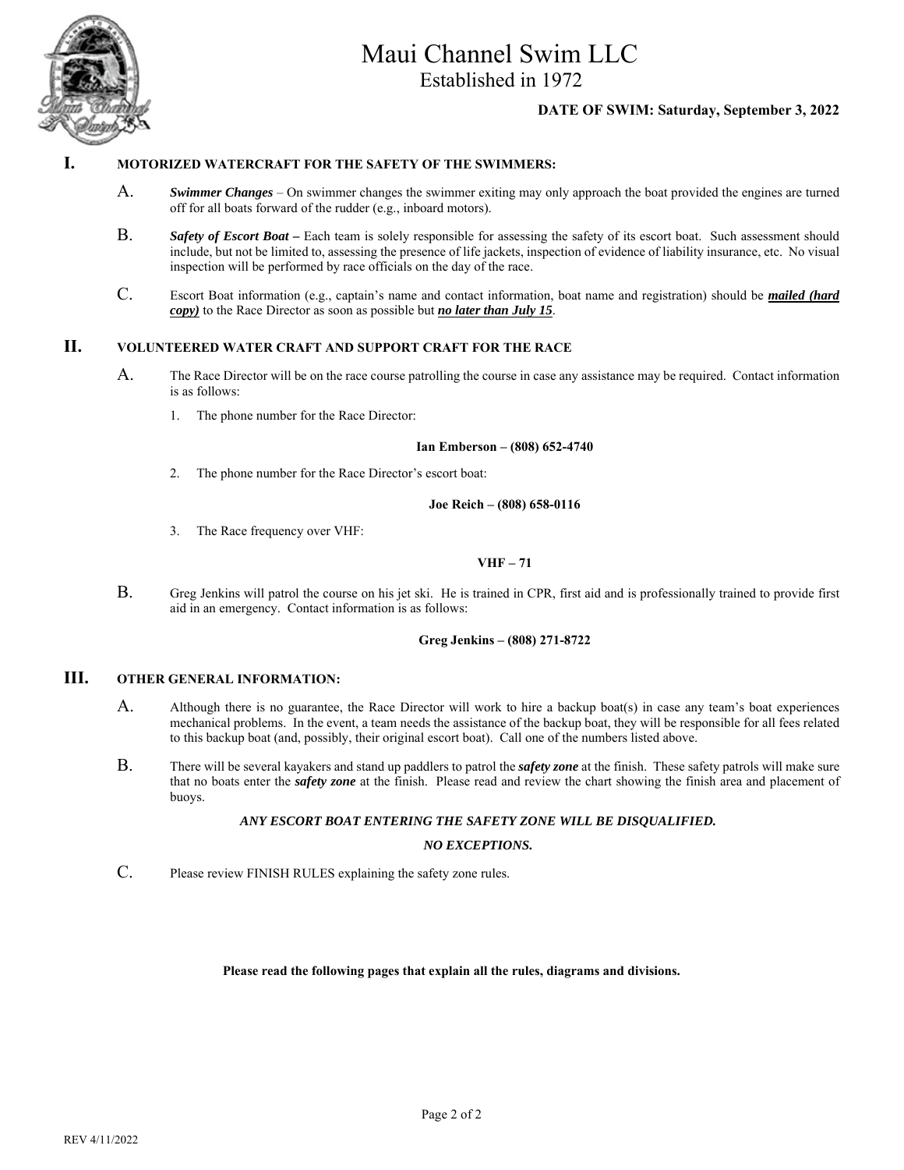

Established in 1972

#### **DATE OF SWIM: Saturday, September 3, 2022**

#### **I. MOTORIZED WATERCRAFT FOR THE SAFETY OF THE SWIMMERS:**

- A. *Swimmer Changes* On swimmer changes the swimmer exiting may only approach the boat provided the engines are turned off for all boats forward of the rudder (e.g., inboard motors).
- B. *Safety of Escort Boat* Each team is solely responsible for assessing the safety of its escort boat. Such assessment should include, but not be limited to, assessing the presence of life jackets, inspection of evidence of liability insurance, etc. No visual inspection will be performed by race officials on the day of the race.
- C. Escort Boat information (e.g., captain's name and contact information, boat name and registration) should be *mailed (hard copy)* to the Race Director as soon as possible but *no later than July 15*.

#### **II. VOLUNTEERED WATER CRAFT AND SUPPORT CRAFT FOR THE RACE**

- A. The Race Director will be on the race course patrolling the course in case any assistance may be required. Contact information is as follows:
	- 1. The phone number for the Race Director:

#### **Ian Emberson – (808) 652-4740**

2. The phone number for the Race Director's escort boat:

#### **Joe Reich – (808) 658-0116**

3. The Race frequency over VHF:

#### **VHF – 71**

B. Greg Jenkins will patrol the course on his jet ski. He is trained in CPR, first aid and is professionally trained to provide first aid in an emergency. Contact information is as follows:

#### **Greg Jenkins – (808) 271-8722**

#### **III. OTHER GENERAL INFORMATION:**

- A. Although there is no guarantee, the Race Director will work to hire a backup boat(s) in case any team's boat experiences mechanical problems. In the event, a team needs the assistance of the backup boat, they will be responsible for all fees related to this backup boat (and, possibly, their original escort boat). Call one of the numbers listed above.
- B. There will be several kayakers and stand up paddlers to patrol the *safety zone* at the finish. These safety patrols will make sure that no boats enter the *safety zone* at the finish. Please read and review the chart showing the finish area and placement of buoys.

#### *ANY ESCORT BOAT ENTERING THE SAFETY ZONE WILL BE DISQUALIFIED.*

#### *NO EXCEPTIONS.*

C. Please review FINISH RULES explaining the safety zone rules.

#### **Please read the following pages that explain all the rules, diagrams and divisions.**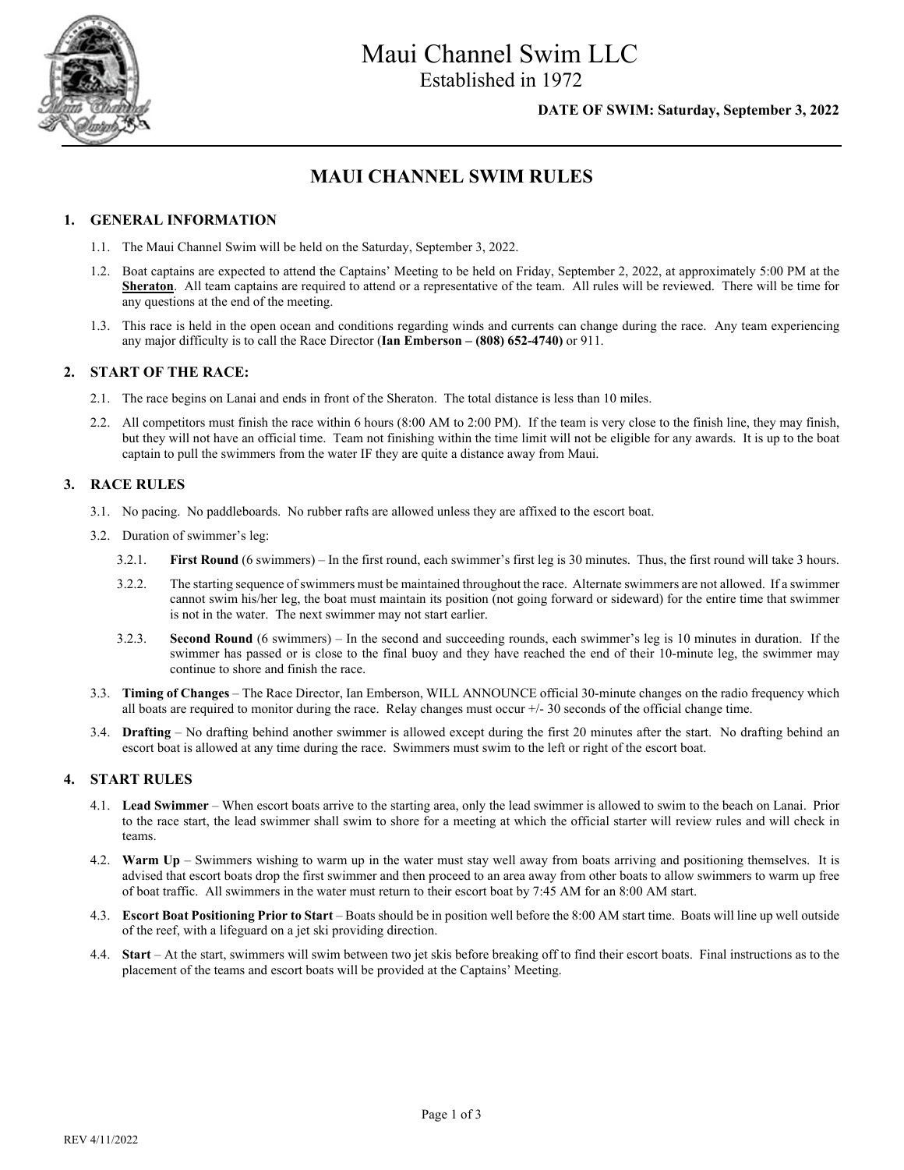

#### **DATE OF SWIM: Saturday, September 3, 2022**

## **MAUI CHANNEL SWIM RULES**

#### **1. GENERAL INFORMATION**

- 1.1. The Maui Channel Swim will be held on the Saturday, September 3, 2022.
- 1.2. Boat captains are expected to attend the Captains' Meeting to be held on Friday, September 2, 2022, at approximately 5:00 PM at the **Sheraton**. All team captains are required to attend or a representative of the team. All rules will be reviewed. There will be time for any questions at the end of the meeting.
- 1.3. This race is held in the open ocean and conditions regarding winds and currents can change during the race. Any team experiencing any major difficulty is to call the Race Director (**Ian Emberson – (808) 652-4740)** or 911.

#### **2. START OF THE RACE:**

- 2.1. The race begins on Lanai and ends in front of the Sheraton. The total distance is less than 10 miles.
- 2.2. All competitors must finish the race within 6 hours (8:00 AM to 2:00 PM). If the team is very close to the finish line, they may finish, but they will not have an official time. Team not finishing within the time limit will not be eligible for any awards. It is up to the boat captain to pull the swimmers from the water IF they are quite a distance away from Maui.

#### **3. RACE RULES**

- 3.1. No pacing. No paddleboards. No rubber rafts are allowed unless they are affixed to the escort boat.
- 3.2. Duration of swimmer's leg:
	- 3.2.1. **First Round** (6 swimmers) In the first round, each swimmer's first leg is 30 minutes. Thus, the first round will take 3 hours.
	- 3.2.2. The starting sequence of swimmers must be maintained throughout the race. Alternate swimmers are not allowed. If a swimmer cannot swim his/her leg, the boat must maintain its position (not going forward or sideward) for the entire time that swimmer is not in the water. The next swimmer may not start earlier.
	- 3.2.3. **Second Round** (6 swimmers) In the second and succeeding rounds, each swimmer's leg is 10 minutes in duration. If the swimmer has passed or is close to the final buoy and they have reached the end of their 10-minute leg, the swimmer may continue to shore and finish the race.
- 3.3. **Timing of Changes** The Race Director, Ian Emberson, WILL ANNOUNCE official 30-minute changes on the radio frequency which all boats are required to monitor during the race. Relay changes must occur  $+/-30$  seconds of the official change time.
- 3.4. **Drafting** No drafting behind another swimmer is allowed except during the first 20 minutes after the start. No drafting behind an escort boat is allowed at any time during the race. Swimmers must swim to the left or right of the escort boat.

#### **4. START RULES**

- 4.1. **Lead Swimmer** When escort boats arrive to the starting area, only the lead swimmer is allowed to swim to the beach on Lanai. Prior to the race start, the lead swimmer shall swim to shore for a meeting at which the official starter will review rules and will check in teams.
- 4.2. **Warm Up**  Swimmers wishing to warm up in the water must stay well away from boats arriving and positioning themselves. It is advised that escort boats drop the first swimmer and then proceed to an area away from other boats to allow swimmers to warm up free of boat traffic. All swimmers in the water must return to their escort boat by 7:45 AM for an 8:00 AM start.
- 4.3. **Escort Boat Positioning Prior to Start**  Boats should be in position well before the 8:00 AM start time. Boats will line up well outside of the reef, with a lifeguard on a jet ski providing direction.
- 4.4. **Start** At the start, swimmers will swim between two jet skis before breaking off to find their escort boats. Final instructions as to the placement of the teams and escort boats will be provided at the Captains' Meeting.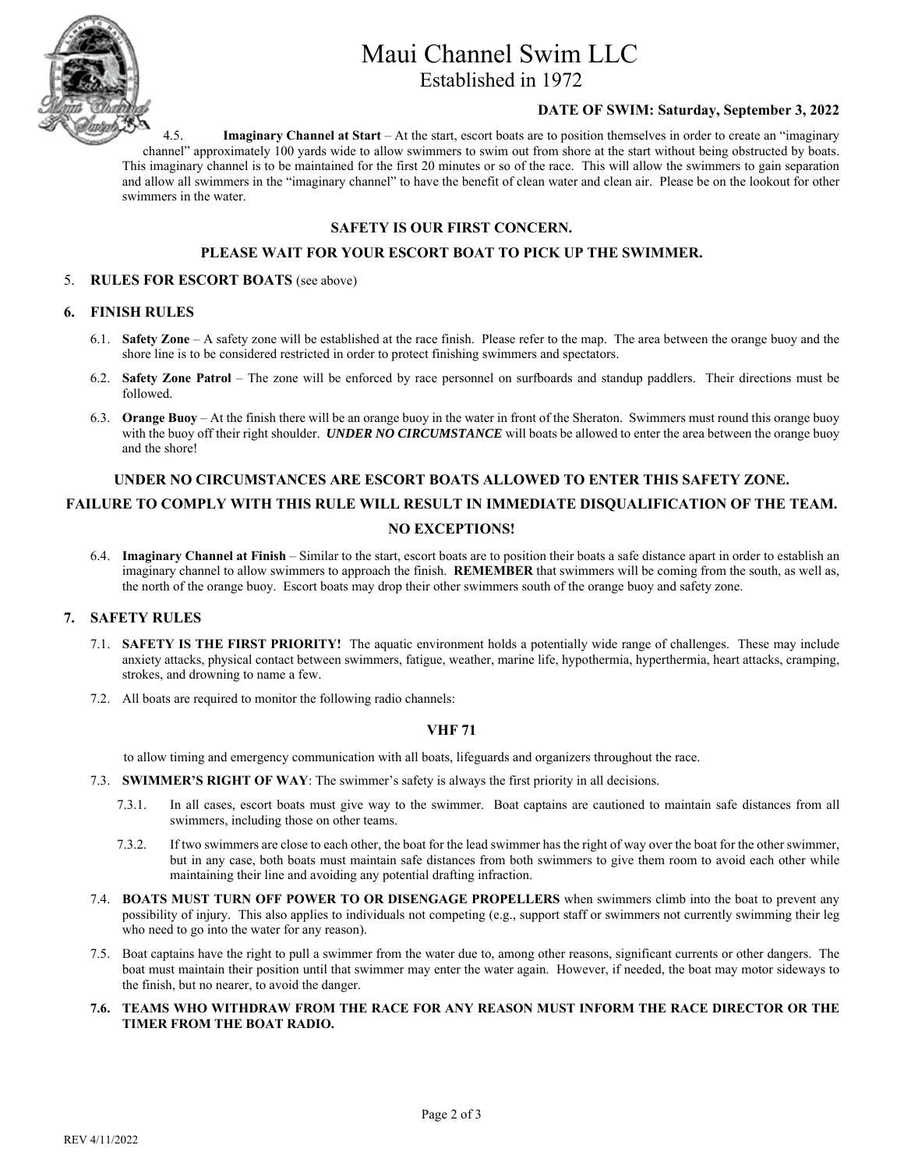

Established in 1972

#### **DATE OF SWIM: Saturday, September 3, 2022**

4.5. **Imaginary Channel at Start** – At the start, escort boats are to position themselves in order to create an "imaginary channel" approximately 100 yards wide to allow swimmers to swim out from shore at the start without being obstructed by boats. This imaginary channel is to be maintained for the first 20 minutes or so of the race. This will allow the swimmers to gain separation and allow all swimmers in the "imaginary channel" to have the benefit of clean water and clean air. Please be on the lookout for other swimmers in the water.

#### **SAFETY IS OUR FIRST CONCERN.**

#### **PLEASE WAIT FOR YOUR ESCORT BOAT TO PICK UP THE SWIMMER.**

#### 5. **RULES FOR ESCORT BOATS** (see above)

#### **6. FINISH RULES**

- 6.1. **Safety Zone** A safety zone will be established at the race finish. Please refer to the map. The area between the orange buoy and the shore line is to be considered restricted in order to protect finishing swimmers and spectators.
- 6.2. **Safety Zone Patrol**  The zone will be enforced by race personnel on surfboards and standup paddlers. Their directions must be followed.
- 6.3. **Orange Buoy** At the finish there will be an orange buoy in the water in front of the Sheraton. Swimmers must round this orange buoy with the buoy off their right shoulder. *UNDER NO CIRCUMSTANCE* will boats be allowed to enter the area between the orange buoy and the shore!

#### **UNDER NO CIRCUMSTANCES ARE ESCORT BOATS ALLOWED TO ENTER THIS SAFETY ZONE.**

### **FAILURE TO COMPLY WITH THIS RULE WILL RESULT IN IMMEDIATE DISQUALIFICATION OF THE TEAM. NO EXCEPTIONS!**

6.4. **Imaginary Channel at Finish** – Similar to the start, escort boats are to position their boats a safe distance apart in order to establish an imaginary channel to allow swimmers to approach the finish. **REMEMBER** that swimmers will be coming from the south, as well as, the north of the orange buoy. Escort boats may drop their other swimmers south of the orange buoy and safety zone.

#### **7. SAFETY RULES**

- 7.1. **SAFETY IS THE FIRST PRIORITY!** The aquatic environment holds a potentially wide range of challenges. These may include anxiety attacks, physical contact between swimmers, fatigue, weather, marine life, hypothermia, hyperthermia, heart attacks, cramping, strokes, and drowning to name a few.
- 7.2. All boats are required to monitor the following radio channels:

#### **VHF 71**

to allow timing and emergency communication with all boats, lifeguards and organizers throughout the race.

- 7.3. **SWIMMER'S RIGHT OF WAY**: The swimmer's safety is always the first priority in all decisions.
	- 7.3.1. In all cases, escort boats must give way to the swimmer. Boat captains are cautioned to maintain safe distances from all swimmers, including those on other teams.
	- 7.3.2. If two swimmers are close to each other, the boat for the lead swimmer has the right of way over the boat for the other swimmer, but in any case, both boats must maintain safe distances from both swimmers to give them room to avoid each other while maintaining their line and avoiding any potential drafting infraction.
- 7.4. **BOATS MUST TURN OFF POWER TO OR DISENGAGE PROPELLERS** when swimmers climb into the boat to prevent any possibility of injury. This also applies to individuals not competing (e.g., support staff or swimmers not currently swimming their leg who need to go into the water for any reason).
- 7.5. Boat captains have the right to pull a swimmer from the water due to, among other reasons, significant currents or other dangers. The boat must maintain their position until that swimmer may enter the water again. However, if needed, the boat may motor sideways to the finish, but no nearer, to avoid the danger.
- **7.6. TEAMS WHO WITHDRAW FROM THE RACE FOR ANY REASON MUST INFORM THE RACE DIRECTOR OR THE TIMER FROM THE BOAT RADIO.**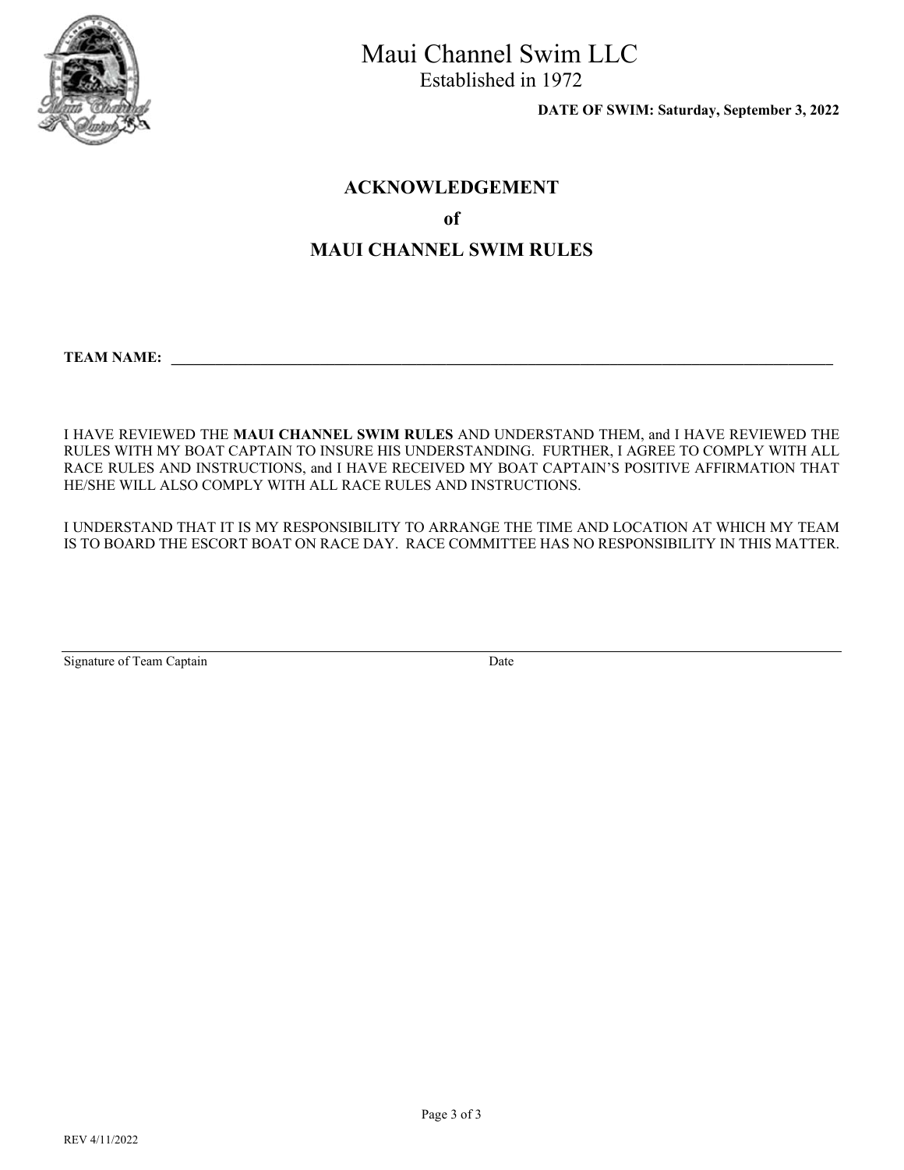

Established in 1972

 **DATE OF SWIM: Saturday, September 3, 2022**

### **ACKNOWLEDGEMENT**

### **of**

## **MAUI CHANNEL SWIM RULES**

**TEAM NAME: \_\_\_\_\_\_\_\_\_\_\_\_\_\_\_\_\_\_\_\_\_\_\_\_\_\_\_\_\_\_\_\_\_\_\_\_\_\_\_\_\_\_\_\_\_\_\_\_\_\_\_\_\_\_\_\_\_\_\_\_\_\_\_\_\_\_\_\_\_\_\_\_\_\_\_\_\_\_\_\_\_\_\_\_\_\_\_\_\_** 

I HAVE REVIEWED THE **MAUI CHANNEL SWIM RULES** AND UNDERSTAND THEM, and I HAVE REVIEWED THE RULES WITH MY BOAT CAPTAIN TO INSURE HIS UNDERSTANDING. FURTHER, I AGREE TO COMPLY WITH ALL RACE RULES AND INSTRUCTIONS, and I HAVE RECEIVED MY BOAT CAPTAIN'S POSITIVE AFFIRMATION THAT HE/SHE WILL ALSO COMPLY WITH ALL RACE RULES AND INSTRUCTIONS.

I UNDERSTAND THAT IT IS MY RESPONSIBILITY TO ARRANGE THE TIME AND LOCATION AT WHICH MY TEAM IS TO BOARD THE ESCORT BOAT ON RACE DAY. RACE COMMITTEE HAS NO RESPONSIBILITY IN THIS MATTER.

| Signature of Team Captain | Date |
|---------------------------|------|
|                           |      |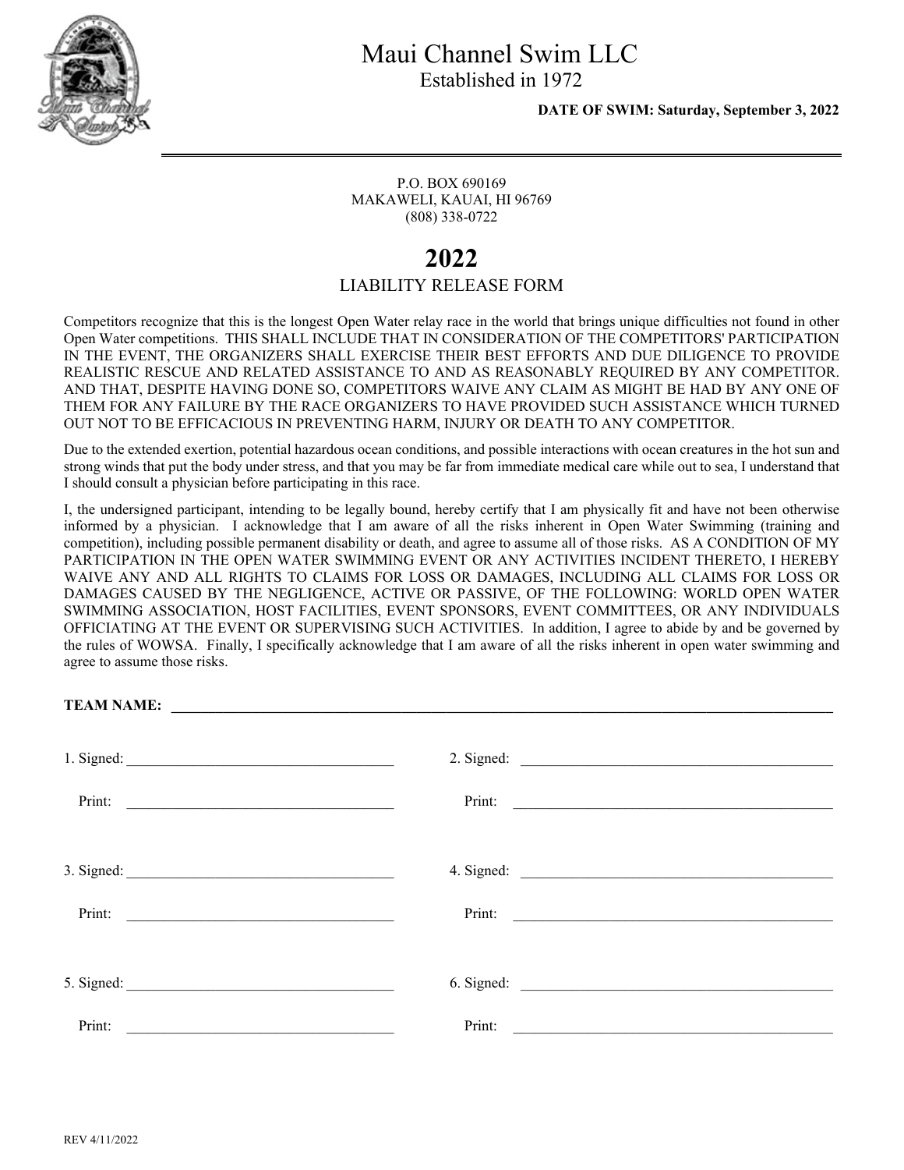

 **DATE OF SWIM: Saturday, September 3, 2022** 

P.O. BOX 690169 MAKAWELI, KAUAI, HI 96769 (808) 338-0722

# **2022**

### LIABILITY RELEASE FORM

Competitors recognize that this is the longest Open Water relay race in the world that brings unique difficulties not found in other Open Water competitions. THIS SHALL INCLUDE THAT IN CONSIDERATION OF THE COMPETITORS' PARTICIPATION IN THE EVENT, THE ORGANIZERS SHALL EXERCISE THEIR BEST EFFORTS AND DUE DILIGENCE TO PROVIDE REALISTIC RESCUE AND RELATED ASSISTANCE TO AND AS REASONABLY REQUIRED BY ANY COMPETITOR. AND THAT, DESPITE HAVING DONE SO, COMPETITORS WAIVE ANY CLAIM AS MIGHT BE HAD BY ANY ONE OF THEM FOR ANY FAILURE BY THE RACE ORGANIZERS TO HAVE PROVIDED SUCH ASSISTANCE WHICH TURNED OUT NOT TO BE EFFICACIOUS IN PREVENTING HARM, INJURY OR DEATH TO ANY COMPETITOR.

Due to the extended exertion, potential hazardous ocean conditions, and possible interactions with ocean creatures in the hot sun and strong winds that put the body under stress, and that you may be far from immediate medical care while out to sea, I understand that I should consult a physician before participating in this race.

I, the undersigned participant, intending to be legally bound, hereby certify that I am physically fit and have not been otherwise informed by a physician. I acknowledge that I am aware of all the risks inherent in Open Water Swimming (training and competition), including possible permanent disability or death, and agree to assume all of those risks. AS A CONDITION OF MY PARTICIPATION IN THE OPEN WATER SWIMMING EVENT OR ANY ACTIVITIES INCIDENT THERETO, I HEREBY WAIVE ANY AND ALL RIGHTS TO CLAIMS FOR LOSS OR DAMAGES, INCLUDING ALL CLAIMS FOR LOSS OR DAMAGES CAUSED BY THE NEGLIGENCE, ACTIVE OR PASSIVE, OF THE FOLLOWING: WORLD OPEN WATER SWIMMING ASSOCIATION, HOST FACILITIES, EVENT SPONSORS, EVENT COMMITTEES, OR ANY INDIVIDUALS OFFICIATING AT THE EVENT OR SUPERVISING SUCH ACTIVITIES. In addition, I agree to abide by and be governed by the rules of WOWSA. Finally, I specifically acknowledge that I am aware of all the risks inherent in open water swimming and agree to assume those risks.

| TEAM NAME:                                              |        |                                                                     |
|---------------------------------------------------------|--------|---------------------------------------------------------------------|
|                                                         |        |                                                                     |
|                                                         |        |                                                                     |
| Print:                                                  |        |                                                                     |
|                                                         |        |                                                                     |
|                                                         |        |                                                                     |
| Print:                                                  |        | Print:                                                              |
|                                                         |        |                                                                     |
|                                                         |        |                                                                     |
| Print:<br><u> 1980 - Andrea Andrew Maria (h. 1980).</u> | Print: | <u> 1980 - Andrea Station Barbara, amerikan personal (h. 1980).</u> |